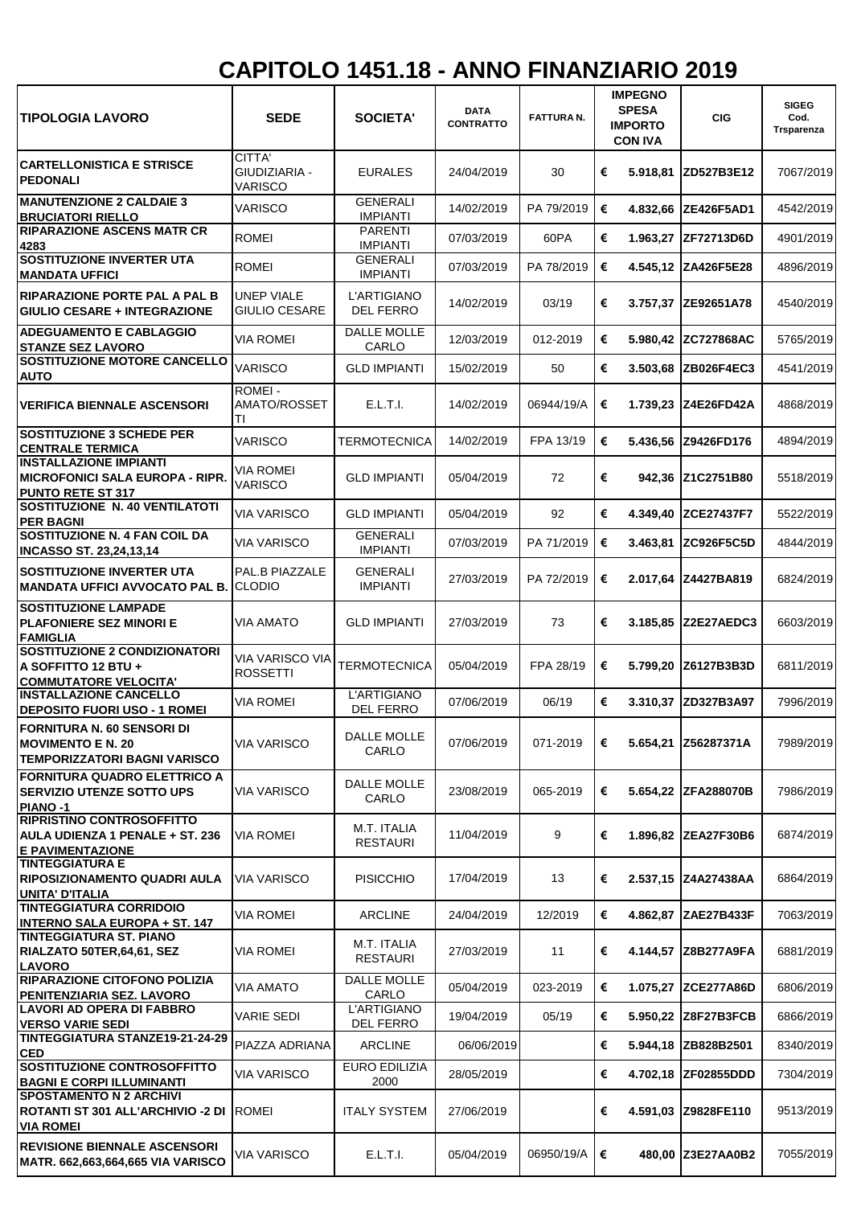## **CAPITOLO 1451.18 - ANNO FINANZIARIO 2019**

| <b>TIPOLOGIA LAVORO</b>                                                                               | <b>SEDE</b>                               | SOCIETA'                           | DATA<br><b>CONTRATTO</b> | <b>FATTURA N.</b> |   | <b>IMPEGNO</b><br><b>SPESA</b><br><b>IMPORTO</b><br><b>CON IVA</b> | <b>CIG</b>          | <b>SIGEG</b><br>Cod.<br>Trsparenza |
|-------------------------------------------------------------------------------------------------------|-------------------------------------------|------------------------------------|--------------------------|-------------------|---|--------------------------------------------------------------------|---------------------|------------------------------------|
| <b>CARTELLONISTICA E STRISCE</b><br><b>PEDONALI</b>                                                   | CITTA'<br>GIUDIZIARIA -<br>VARISCO        | <b>EURALES</b>                     | 24/04/2019               | 30                | € | 5.918,81                                                           | ZD527B3E12          | 7067/2019                          |
| <b>MANUTENZIONE 2 CALDAIE 3</b><br><b>BRUCIATORI RIELLO</b>                                           | VARISCO                                   | GENERALI<br><b>IMPIANTI</b>        | 14/02/2019               | PA 79/2019        | € | 4.832,66                                                           | ZE426F5AD1          | 4542/2019                          |
| <b>RIPARAZIONE ASCENS MATR CR</b><br>4283                                                             | <b>ROMEI</b>                              | <b>PARENTI</b><br><b>IMPIANTI</b>  | 07/03/2019               | 60PA              | € |                                                                    | 1.963,27 ZF72713D6D | 4901/2019                          |
| <b>SOSTITUZIONE INVERTER UTA</b><br><b>MANDATA UFFICI</b>                                             | ROMEI                                     | GENERALI<br><b>IMPIANTI</b>        | 07/03/2019               | PA 78/2019        | € |                                                                    | 4.545,12 ZA426F5E28 | 4896/2019                          |
| <b>RIPARAZIONE PORTE PAL A PAL B</b><br><b>GIULIO CESARE + INTEGRAZIONE</b>                           | <b>UNEP VIALE</b><br>GIULIO CESARE        | L'ARTIGIANO<br><b>DEL FERRO</b>    | 14/02/2019               | 03/19             | € |                                                                    | 3.757,37 ZE92651A78 | 4540/2019                          |
| <b>ADEGUAMENTO E CABLAGGIO</b><br><b>STANZE SEZ LAVORO</b>                                            | <b>VIA ROMEI</b>                          | DALLE MOLLE<br>CARLO               | 12/03/2019               | 012-2019          | € | 5.980,42                                                           | <b>ZC727868AC</b>   | 5765/2019                          |
| <b>SOSTITUZIONE MOTORE CANCELLO</b><br><b>AUTO</b>                                                    | VARISCO                                   | <b>GLD IMPIANTI</b>                | 15/02/2019               | 50                | € |                                                                    | 3.503,68 ZB026F4EC3 | 4541/2019                          |
| <b>VERIFICA BIENNALE ASCENSORI</b>                                                                    | ROMEI-<br>AMATO/ROSSET<br>TI              | E.L.T.I.                           | 14/02/2019               | 06944/19/A        | € | 1.739,23                                                           | <b>Z4E26FD42A</b>   | 4868/2019                          |
| <b>SOSTITUZIONE 3 SCHEDE PER</b><br><b>CENTRALE TERMICA</b>                                           | VARISCO                                   | TERMOTECNICA                       | 14/02/2019               | FPA 13/19         | € | 5.436,56                                                           | Z9426FD176          | 4894/2019                          |
| <b>IINSTALLAZIONE IMPIANTI</b><br><b>MICROFONICI SALA EUROPA - RIPR.</b><br><b>PUNTO RETE ST 317</b>  | <b>VIA ROMEI</b><br><b>VARISCO</b>        | <b>GLD IMPIANTI</b>                | 05/04/2019               | 72                | € |                                                                    | 942,36 Z1C2751B80   | 5518/2019                          |
| SOSTITUZIONE N. 40 VENTILATOTI<br><b>PER BAGNI</b>                                                    | <b>VIA VARISCO</b>                        | <b>GLD IMPIANTI</b>                | 05/04/2019               | 92                | € | 4.349,40                                                           | <b>ZCE27437F7</b>   | 5522/2019                          |
| <b>SOSTITUZIONE N. 4 FAN COIL DA</b><br><b>INCASSO ST. 23,24,13,14</b>                                | <b>VIA VARISCO</b>                        | <b>GENERALI</b><br><b>IMPIANTI</b> | 07/03/2019               | PA 71/2019        | € | 3.463,81                                                           | <b>ZC926F5C5D</b>   | 4844/2019                          |
| <b>SOSTITUZIONE INVERTER UTA</b><br><b>MANDATA UFFICI AVVOCATO PAL B.</b>                             | PAL.B PIAZZALE<br><b>CLODIO</b>           | GENERALI<br><b>IMPIANTI</b>        | 27/03/2019               | PA 72/2019        | € | 2.017,64                                                           | Z4427BA819          | 6824/2019                          |
| <b>SOSTITUZIONE LAMPADE</b><br><b>PLAFONIERE SEZ MINORI E</b><br><b>FAMIGLIA</b>                      | VIA AMATO                                 | <b>GLD IMPIANTI</b>                | 27/03/2019               | 73                | € | 3.185,85                                                           | Z2E27AEDC3          | 6603/2019                          |
| <b>SOSTITUZIONE 2 CONDIZIONATORI</b><br>A SOFFITTO 12 BTU +<br><b>COMMUTATORE VELOCITA'</b>           | <b>VIA VARISCO VIA</b><br><b>ROSSETTI</b> | <b>TERMOTECNICA</b>                | 05/04/2019               | FPA 28/19         | € | 5.799,20                                                           | Z6127B3B3D          | 6811/2019                          |
| <b>INSTALLAZIONE CANCELLO</b><br><b>DEPOSITO FUORI USO - 1 ROMEI</b>                                  | VIA ROMEI                                 | L'ARTIGIANO<br><b>DEL FERRO</b>    | 07/06/2019               | 06/19             | € | 3.310,37                                                           | ZD327B3A97          | 7996/2019                          |
| FORNITURA N. 60 SENSORI DI<br><b>MOVIMENTO E N. 20</b><br><b>TEMPORIZZATORI BAGNI VARISCO</b>         | <b>VIA VARISCO</b>                        | DALLE MOLLE<br>CARLO               | 07/06/2019               | 071-2019          | € | 5.654,21                                                           | Z56287371A          | 7989/2019                          |
| <b>FORNITURA QUADRO ELETTRICO A</b><br><b>SERVIZIO UTENZE SOTTO UPS</b><br><b>PIANO-1</b>             | <b>VIA VARISCO</b>                        | DALLE MOLLE<br>CARLO               | 23/08/2019               | 065-2019          | € |                                                                    | 5.654,22 ZFA288070B | 7986/2019                          |
| <b>RIPRISTINO CONTROSOFFITTO</b><br><b>AULA UDIENZA 1 PENALE + ST. 236</b><br><b>E PAVIMENTAZIONE</b> | <b>VIA ROMEI</b>                          | M.T. ITALIA<br><b>RESTAURI</b>     | 11/04/2019               | 9                 | € |                                                                    | 1.896,82 ZEA27F30B6 | 6874/2019                          |
| <b>TINTEGGIATURA E</b><br><b>RIPOSIZIONAMENTO QUADRI AULA</b><br>UNITA' D'ITALIA                      | VIA VARISCO                               | <b>PISICCHIO</b>                   | 17/04/2019               | 13                | € |                                                                    | 2.537,15 Z4A27438AA | 6864/2019                          |
| <b>TINTEGGIATURA CORRIDOIO</b><br><b>INTERNO SALA EUROPA + ST. 147</b>                                | <b>VIA ROMEI</b>                          | <b>ARCLINE</b>                     | 24/04/2019               | 12/2019           | € | 4.862,87                                                           | ZAE27B433F          | 7063/2019                          |
| <b>TINTEGGIATURA ST. PIANO</b><br>RIALZATO 50TER,64,61, SEZ<br><b>LAVORO</b>                          | <b>VIA ROMEI</b>                          | M.T. ITALIA<br><b>RESTAURI</b>     | 27/03/2019               | 11                | € |                                                                    | 4.144,57 Z8B277A9FA | 6881/2019                          |
| <b>RIPARAZIONE CITOFONO POLIZIA</b><br>PENITENZIARIA SEZ. LAVORO                                      | <b>VIA AMATO</b>                          | <b>DALLE MOLLE</b><br>CARLO        | 05/04/2019               | 023-2019          | € | 1.075,27                                                           | <b>ZCE277A86D</b>   | 6806/2019                          |
| <b>LAVORI AD OPERA DI FABBRO</b><br><b>VERSO VARIE SEDI</b>                                           | <b>VARIE SEDI</b>                         | L'ARTIGIANO<br><b>DEL FERRO</b>    | 19/04/2019               | 05/19             | € | 5.950,22                                                           | Z8F27B3FCB          | 6866/2019                          |
| TINTEGGIATURA STANZE19-21-24-29<br><b>CED</b>                                                         | PIAZZA ADRIANA                            | <b>ARCLINE</b>                     | 06/06/2019               |                   | € | 5.944,18                                                           | ZB828B2501          | 8340/2019                          |
| SOSTITUZIONE CONTROSOFFITTO<br><b>BAGNI E CORPI ILLUMINANTI</b>                                       | <b>VIA VARISCO</b>                        | <b>EURO EDILIZIA</b><br>2000       | 28/05/2019               |                   | € |                                                                    | 4.702,18 ZF02855DDD | 7304/2019                          |
| <b>SPOSTAMENTO N 2 ARCHIVI</b><br>ROTANTI ST 301 ALL'ARCHIVIO -2 DI<br><b>VIA ROMEI</b>               | <b>ROMEI</b>                              | <b>ITALY SYSTEM</b>                | 27/06/2019               |                   | € | 4.591,03                                                           | Z9828FE110          | 9513/2019                          |
| <b>REVISIONE BIENNALE ASCENSORI</b><br>MATR. 662,663,664,665 VIA VARISCO                              | <b>VIA VARISCO</b>                        | E.L.T.I.                           | 05/04/2019               | 06950/19/A        | € |                                                                    | 480,00 Z3E27AA0B2   | 7055/2019                          |